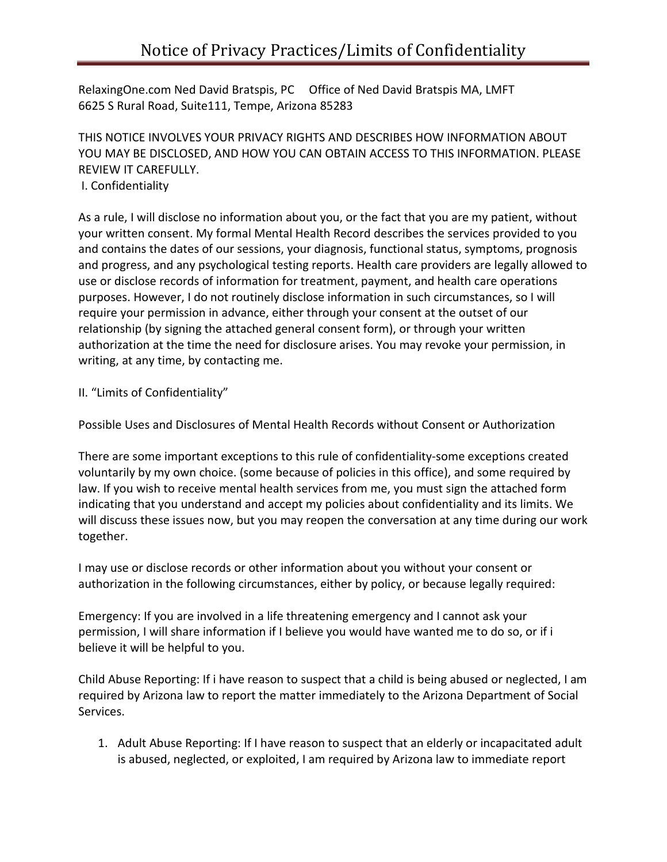RelaxingOne.com Ned David Bratspis, PC Office of Ned David Bratspis MA, LMFT 6625 S Rural Road, Suite111, Tempe, Arizona 85283

## THIS NOTICE INVOLVES YOUR PRIVACY RIGHTS AND DESCRIBES HOW INFORMATION ABOUT YOU MAY BE DISCLOSED, AND HOW YOU CAN OBTAIN ACCESS TO THIS INFORMATION. PLEASE REVIEW IT CAREFULLY.

## I. Confidentiality

As a rule, I will disclose no information about you, or the fact that you are my patient, without your written consent. My formal Mental Health Record describes the services provided to you and contains the dates of our sessions, your diagnosis, functional status, symptoms, prognosis and progress, and any psychological testing reports. Health care providers are legally allowed to use or disclose records of information for treatment, payment, and health care operations purposes. However, I do not routinely disclose information in such circumstances, so I will require your permission in advance, either through your consent at the outset of our relationship (by signing the attached general consent form), or through your written authorization at the time the need for disclosure arises. You may revoke your permission, in writing, at any time, by contacting me.

II. "Limits of Confidentiality"

Possible Uses and Disclosures of Mental Health Records without Consent or Authorization

There are some important exceptions to this rule of confidentiality-some exceptions created voluntarily by my own choice. (some because of policies in this office), and some required by law. If you wish to receive mental health services from me, you must sign the attached form indicating that you understand and accept my policies about confidentiality and its limits. We will discuss these issues now, but you may reopen the conversation at any time during our work together.

I may use or disclose records or other information about you without your consent or authorization in the following circumstances, either by policy, or because legally required:

Emergency: If you are involved in a life threatening emergency and I cannot ask your permission, I will share information if I believe you would have wanted me to do so, or if i believe it will be helpful to you.

Child Abuse Reporting: If i have reason to suspect that a child is being abused or neglected, I am required by Arizona law to report the matter immediately to the Arizona Department of Social Services.

1. Adult Abuse Reporting: If I have reason to suspect that an elderly or incapacitated adult is abused, neglected, or exploited, I am required by Arizona law to immediate report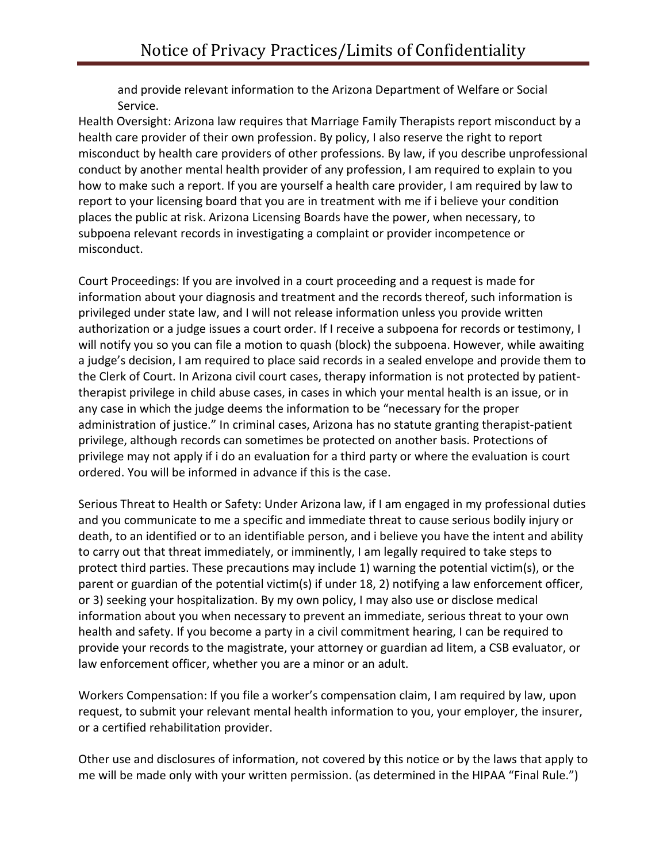and provide relevant information to the Arizona Department of Welfare or Social Service.

Health Oversight: Arizona law requires that Marriage Family Therapists report misconduct by a health care provider of their own profession. By policy, I also reserve the right to report misconduct by health care providers of other professions. By law, if you describe unprofessional conduct by another mental health provider of any profession, I am required to explain to you how to make such a report. If you are yourself a health care provider, I am required by law to report to your licensing board that you are in treatment with me if i believe your condition places the public at risk. Arizona Licensing Boards have the power, when necessary, to subpoena relevant records in investigating a complaint or provider incompetence or misconduct.

Court Proceedings: If you are involved in a court proceeding and a request is made for information about your diagnosis and treatment and the records thereof, such information is privileged under state law, and I will not release information unless you provide written authorization or a judge issues a court order. If I receive a subpoena for records or testimony, I will notify you so you can file a motion to quash (block) the subpoena. However, while awaiting a judge's decision, I am required to place said records in a sealed envelope and provide them to the Clerk of Court. In Arizona civil court cases, therapy information is not protected by patienttherapist privilege in child abuse cases, in cases in which your mental health is an issue, or in any case in which the judge deems the information to be "necessary for the proper administration of justice." In criminal cases, Arizona has no statute granting therapist-patient privilege, although records can sometimes be protected on another basis. Protections of privilege may not apply if i do an evaluation for a third party or where the evaluation is court ordered. You will be informed in advance if this is the case.

Serious Threat to Health or Safety: Under Arizona law, if I am engaged in my professional duties and you communicate to me a specific and immediate threat to cause serious bodily injury or death, to an identified or to an identifiable person, and i believe you have the intent and ability to carry out that threat immediately, or imminently, I am legally required to take steps to protect third parties. These precautions may include 1) warning the potential victim(s), or the parent or guardian of the potential victim(s) if under 18, 2) notifying a law enforcement officer, or 3) seeking your hospitalization. By my own policy, I may also use or disclose medical information about you when necessary to prevent an immediate, serious threat to your own health and safety. If you become a party in a civil commitment hearing, I can be required to provide your records to the magistrate, your attorney or guardian ad litem, a CSB evaluator, or law enforcement officer, whether you are a minor or an adult.

Workers Compensation: If you file a worker's compensation claim, I am required by law, upon request, to submit your relevant mental health information to you, your employer, the insurer, or a certified rehabilitation provider.

Other use and disclosures of information, not covered by this notice or by the laws that apply to me will be made only with your written permission. (as determined in the HIPAA "Final Rule.")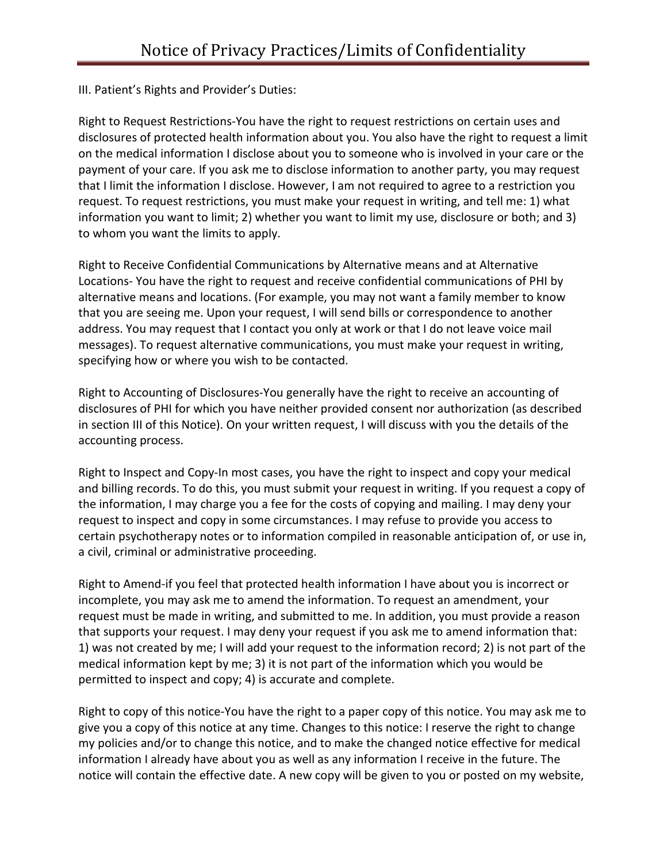III. Patient's Rights and Provider's Duties:

Right to Request Restrictions-You have the right to request restrictions on certain uses and disclosures of protected health information about you. You also have the right to request a limit on the medical information I disclose about you to someone who is involved in your care or the payment of your care. If you ask me to disclose information to another party, you may request that I limit the information I disclose. However, I am not required to agree to a restriction you request. To request restrictions, you must make your request in writing, and tell me: 1) what information you want to limit; 2) whether you want to limit my use, disclosure or both; and 3) to whom you want the limits to apply.

Right to Receive Confidential Communications by Alternative means and at Alternative Locations- You have the right to request and receive confidential communications of PHI by alternative means and locations. (For example, you may not want a family member to know that you are seeing me. Upon your request, I will send bills or correspondence to another address. You may request that I contact you only at work or that I do not leave voice mail messages). To request alternative communications, you must make your request in writing, specifying how or where you wish to be contacted.

Right to Accounting of Disclosures-You generally have the right to receive an accounting of disclosures of PHI for which you have neither provided consent nor authorization (as described in section III of this Notice). On your written request, I will discuss with you the details of the accounting process.

Right to Inspect and Copy-In most cases, you have the right to inspect and copy your medical and billing records. To do this, you must submit your request in writing. If you request a copy of the information, I may charge you a fee for the costs of copying and mailing. I may deny your request to inspect and copy in some circumstances. I may refuse to provide you access to certain psychotherapy notes or to information compiled in reasonable anticipation of, or use in, a civil, criminal or administrative proceeding.

Right to Amend-if you feel that protected health information I have about you is incorrect or incomplete, you may ask me to amend the information. To request an amendment, your request must be made in writing, and submitted to me. In addition, you must provide a reason that supports your request. I may deny your request if you ask me to amend information that: 1) was not created by me; I will add your request to the information record; 2) is not part of the medical information kept by me; 3) it is not part of the information which you would be permitted to inspect and copy; 4) is accurate and complete.

Right to copy of this notice-You have the right to a paper copy of this notice. You may ask me to give you a copy of this notice at any time. Changes to this notice: I reserve the right to change my policies and/or to change this notice, and to make the changed notice effective for medical information I already have about you as well as any information I receive in the future. The notice will contain the effective date. A new copy will be given to you or posted on my website,